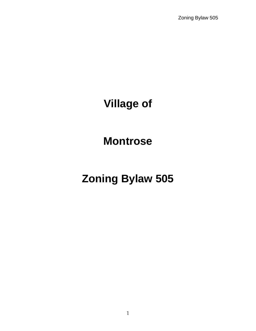# **Village of**

# **Montrose**

# **Zoning Bylaw 505**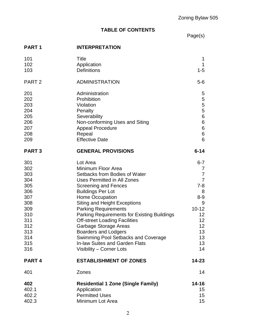# **TABLE OF CONTENTS**

Page(s)

# **PART 1 INTERPRETATION**

| 101<br>102<br>103                                                                                            | Title<br>Application<br><b>Definitions</b>                                                                                                                                                                                                                                                                                                                                                                                                                                                                           | 1<br>1<br>$1 - 5$                                                                                                                                                                           |
|--------------------------------------------------------------------------------------------------------------|----------------------------------------------------------------------------------------------------------------------------------------------------------------------------------------------------------------------------------------------------------------------------------------------------------------------------------------------------------------------------------------------------------------------------------------------------------------------------------------------------------------------|---------------------------------------------------------------------------------------------------------------------------------------------------------------------------------------------|
| PART <sub>2</sub>                                                                                            | <b>ADMINISTRATION</b>                                                                                                                                                                                                                                                                                                                                                                                                                                                                                                | $5-6$                                                                                                                                                                                       |
| 201<br>202<br>203<br>204<br>205<br>206<br>207<br>208<br>209                                                  | Administration<br>Prohibition<br>Violation<br>Penalty<br>Severability<br>Non-conforming Uses and Siting<br><b>Appeal Procedure</b><br>Repeal<br><b>Effective Date</b>                                                                                                                                                                                                                                                                                                                                                | 5<br>5<br>$\overline{5}$<br>$\overline{5}$<br>$\,6\,$<br>$\,6$<br>$\,6$<br>$\,6$<br>6                                                                                                       |
| <b>PART3</b>                                                                                                 | <b>GENERAL PROVISIONS</b>                                                                                                                                                                                                                                                                                                                                                                                                                                                                                            | $6 - 14$                                                                                                                                                                                    |
| 301<br>302<br>303<br>304<br>305<br>306<br>307<br>308<br>309<br>310<br>311<br>312<br>313<br>314<br>315<br>316 | Lot Area<br>Minimum Floor Area<br>Setbacks from Bodies of Water<br>Uses Permitted in All Zones<br><b>Screening and Fences</b><br><b>Buildings Per Lot</b><br><b>Home Occupation</b><br><b>Siting and Height Exceptions</b><br><b>Parking Requirements</b><br>Parking Requirements for Existing Buildings<br><b>Off-street Loading Facilities</b><br>Garbage Storage Areas<br><b>Boarders and Lodgers</b><br>Swimming Pool Setbacks and Coverage<br><b>In-law Suites and Garden Flats</b><br>Visibility - Corner Lots | $6 - 7$<br>7<br>$\overline{7}$<br>$\overline{7}$<br>$7 - 8$<br>8<br>$8 - 9$<br>9<br>$10 - 12$<br>12 <sub>2</sub><br>12 <sub>2</sub><br>12 <sub>2</sub><br>13<br>13<br>13 <sup>°</sup><br>14 |
| PART <sub>4</sub>                                                                                            | <b>ESTABLISHMENT OF ZONES</b>                                                                                                                                                                                                                                                                                                                                                                                                                                                                                        | 14-23                                                                                                                                                                                       |
| 401                                                                                                          | Zones                                                                                                                                                                                                                                                                                                                                                                                                                                                                                                                | 14                                                                                                                                                                                          |
| 402<br>402.1<br>402.2<br>402.3                                                                               | <b>Residential 1 Zone (Single Family)</b><br>Application<br><b>Permitted Uses</b><br>Minimum Lot Area                                                                                                                                                                                                                                                                                                                                                                                                                | 14-16<br>15<br>15 <sub>1</sub><br>15 <sub>15</sub>                                                                                                                                          |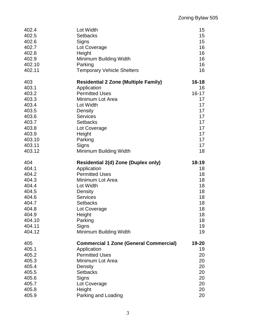| 402.4  | Lot Width                                     | 15        |
|--------|-----------------------------------------------|-----------|
| 402.5  | <b>Setbacks</b>                               | 15        |
| 402.6  | Signs                                         | 15        |
| 402.7  | Lot Coverage                                  | 16        |
| 402.8  | Height                                        | 16        |
| 402.9  | Minimum Building Width                        | 16        |
| 402.10 | Parking                                       | 16        |
| 402.11 | <b>Temporary Vehicle Shelters</b>             | 16        |
| 403    | <b>Residential 2 Zone (Multiple Family)</b>   | $16 - 18$ |
| 403.1  | Application                                   | 16        |
| 403.2  | <b>Permitted Uses</b>                         | $16 - 17$ |
| 403.3  | Minimum Lot Area                              | 17        |
| 403.4  | Lot Width                                     | 17        |
| 403.5  | Density                                       | 17        |
| 403.6  | <b>Services</b>                               | 17        |
| 403.7  | <b>Setbacks</b>                               | 17        |
| 403.8  | Lot Coverage                                  | 17        |
| 403.9  | Height                                        | 17        |
| 403.10 | Parking                                       | 17        |
| 403.11 | Signs                                         | 17        |
| 403.12 | Minimum Building Width                        | 18        |
| 404    | <b>Residential 2(d) Zone (Duplex only)</b>    | $18 - 19$ |
| 404.1  | Application                                   | 18        |
| 404.2  | <b>Permitted Uses</b>                         | 18        |
| 404.3  | Minimum Lot Area                              | 18        |
| 404.4  | Lot Width                                     | 18        |
| 404.5  | Density                                       | 18        |
| 404.6  | <b>Services</b>                               | 18        |
| 404.7  | <b>Setbacks</b>                               | 18        |
| 404.8  | Lot Coverage                                  | 18        |
| 404.9  | Height                                        | 18        |
| 404.10 | Parking                                       | 18        |
| 404.11 | Signs                                         | 19        |
| 404.12 | Minimum Building Width                        | 19        |
| 405    | <b>Commercial 1 Zone (General Commercial)</b> | 19-20     |
| 405.1  | Application                                   | 19        |
| 405.2  | <b>Permitted Uses</b>                         | 20        |
| 405.3  | Minimum Lot Area                              | 20        |
| 405.4  | Density                                       | 20        |
| 405.5  | <b>Setbacks</b>                               | 20        |
| 405.6  | Signs                                         | 20        |
| 405.7  | Lot Coverage                                  | 20        |
| 405.8  | Height                                        | 20        |
| 405.9  | Parking and Loading                           | 20        |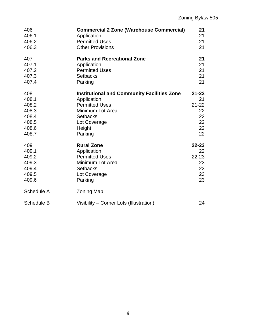| 406<br>406.1<br>406.2<br>406.3 | <b>Commercial 2 Zone (Warehouse Commercial)</b><br>Application<br><b>Permitted Uses</b><br><b>Other Provisions</b> | 21<br>21<br>21<br>21 |
|--------------------------------|--------------------------------------------------------------------------------------------------------------------|----------------------|
| 407                            | <b>Parks and Recreational Zone</b>                                                                                 | 21                   |
| 407.1                          | Application                                                                                                        | 21                   |
| 407.2                          | <b>Permitted Uses</b>                                                                                              | 21                   |
| 407.3                          | <b>Setbacks</b>                                                                                                    | 21                   |
| 407.4                          | Parking                                                                                                            | 21                   |
| 408                            | <b>Institutional and Community Facilities Zone</b>                                                                 | $21 - 22$            |
| 408.1                          | Application                                                                                                        | 21                   |
| 408.2                          | <b>Permitted Uses</b>                                                                                              | $21 - 22$            |
| 408.3                          | Minimum Lot Area                                                                                                   | 22                   |
| 408.4                          | <b>Setbacks</b>                                                                                                    | 22                   |
| 408.5                          | Lot Coverage                                                                                                       | 22                   |
| 408.6                          | Height                                                                                                             | 22                   |
| 408.7                          | Parking                                                                                                            | 22                   |
| 409                            | <b>Rural Zone</b>                                                                                                  | $22 - 23$            |
| 409.1                          | Application                                                                                                        | 22                   |
| 409.2                          | <b>Permitted Uses</b>                                                                                              | 22-23                |
| 409.3                          | Minimum Lot Area                                                                                                   | 23                   |
| 409.4                          | <b>Setbacks</b>                                                                                                    | 23                   |
| 409.5                          | Lot Coverage                                                                                                       | 23                   |
| 409.6                          | Parking                                                                                                            | 23                   |
| Schedule A                     | <b>Zoning Map</b>                                                                                                  |                      |
| <b>Schedule B</b>              | Visibility – Corner Lots (Illustration)                                                                            | 24                   |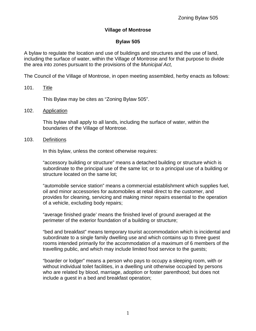## **Village of Montrose**

## **Bylaw 505**

A bylaw to regulate the location and use of buildings and structures and the use of land, including the surface of water, within the Village of Montrose and for that purpose to divide the area into zones pursuant to the provisions of the Municipal Act,

The Council of the Village of Montrose, in open meeting assembled, herby enacts as follows:

## 101. Title

This Bylaw may be cites as "Zoning Bylaw 505".

102. Application

This bylaw shall apply to all lands, including the surface of water, within the boundaries of the Village of Montrose.

103. Definitions

In this bylaw, unless the context otherwise requires:

"accessory building or structure" means a detached building or structure which is subordinate to the principal use of the same lot; or to a principal use of a building or structure located on the same lot;

"automobile service station" means a commercial establishment which supplies fuel, oil and minor accessories for automobiles at retail direct to the customer, and provides for cleaning, servicing and making minor repairs essential to the operation of a vehicle, excluding body repairs;

"average finished grade' means the finished level of ground averaged at the perimeter of the exterior foundation of a building or structure;

"bed and breakfast" means temporary tourist accommodation which is incidental and subordinate to a single family dwelling use and which contains up to three guest rooms intended primarily for the accommodation of a maximum of 6 members of the travelling public, and which may include limited food service to the guests;

"boarder or lodger" means a person who pays to occupy a sleeping room, with or without individual toilet facilities, in a dwelling unit otherwise occupied by persons who are related by blood, marriage, adoption or foster parenthood; but does not include a guest in a bed and breakfast operation;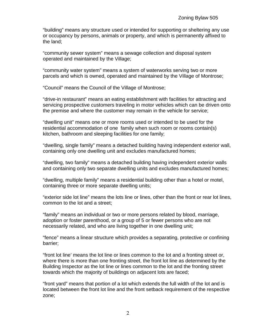"building" means any structure used or intended for supporting or sheltering any use or occupancy by persons, animals or property, and which is permanently affixed to the land;

"community sewer system" means a sewage collection and disposal system operated and maintained by the Village;

"community water system" means a system of waterworks serving two or more parcels and which is owned, operated and maintained by the Village of Montrose;

"Council" means the Council of the Village of Montrose;

"drive-in restaurant" means an eating establishment with facilities for attracting and servicing prospective customers traveling in motor vehicles which can be driven onto the premise and where the customer may remain in the vehicle for service;

"dwelling unit" means one or more rooms used or intended to be used for the residential accommodation of one family when such room or rooms contain(s) kitchen, bathroom and sleeping facilities for one family;

"dwelling, single family" means a detached building having independent exterior wall, containing only one dwelling unit and excludes manufactured homes;

"dwelling, two family" means a detached building having independent exterior walls and containing only two separate dwelling units and excludes manufactured homes;

"dwelling, multiple family" means a residential building other than a hotel or motel, containing three or more separate dwelling units;

"exterior side lot line" means the lots line or lines, other than the front or rear lot lines, common to the lot and a street;

"family" means an individual or two or more persons related by blood, marriage, adoption or foster parenthood, or a group of 5 or fewer persons who are not necessarily related, and who are living together in one dwelling unit;

"fence" means a linear structure which provides a separating, protective or confining barrier;

"front lot line' means the lot line or lines common to the lot and a fronting street or, where there is more than one fronting street, the front lot line as determined by the Building Inspector as the lot line or lines common to the lot and the fronting street towards which the majority of buildings on adjacent lots are faced;

"front yard" means that portion of a lot which extends the full width of the lot and is located between the front lot line and the front setback requirement of the respective zone;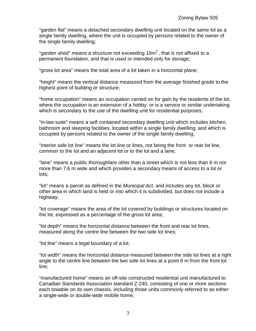"garden flat" means a detached secondary dwelling unit located on the same lot as a single family dwelling, where the unit is occupied by persons related to the owner of the single family dwelling;

"garden shed" means a structure not exceeding 10m $^2$  , that is not affixed to a permanent foundation, and that is used or intended only for storage;

"gross lot area" means the total area of a lot taken in a horizontal plane;

"height" means the vertical distance measured from the average finished grade to the highest point of building or structure;

"home occupation" means an occupation carried on for gain by the residents of the lot, where the occupation is an extension of a hobby, or is a service or similar undertaking which is secondary to the use of the dwelling unit for residential purposes;

"in-law suite" means a self contained secondary dwelling unit which includes kitchen, bathroom and sleeping facilities, located within a single family dwelling, and which is occupied by persons related to the owner of the single family dwelling;

"interior side lot line" means the lot line or lines, not being the front or rear lot line, common to the lot and an adjacent lot or to the lot and a lane;

"lane" means a public thoroughfare other than a street which is not less than 6 m nor more than 7.6 m wide and which provides a secondary means of access to a lot or lots;

"lot" means a parcel as defined in the Municipal Act, and includes any lot, block or other area in which land is held or into which it is subdivided, but does not include a highway;

"lot coverage" means the area of the lot covered by buildings or structures located on the lot, expressed as a percentage of the gross lot area;

"lot depth" means the horizontal distance between the front and rear lot lines, measured along the centre line between the two side lot lines;

"lot line" means a legal boundary of a lot;

"lot width" means the horizontal distance measured between the side lot lines at a right angle to the centre line between the two side lot lines at a point 6 m from the front lot line;

"manufactured home" means an off-site constructed residential unit manufactured to Canadian Standards Association standard Z-240, consisting of one or more sections each towable on its own chassis, including those units commonly referred to as either a single-wide or double-wide mobile home;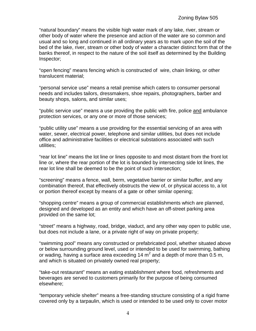"natural boundary" means the visible high water mark of any lake, river, stream or other body of water where the presence and action of the water are so common and usual and so long and continued in all ordinary years as to mark upon the soil of the bed of the lake, river, stream or other body of water a character distinct form that of the banks thereof, in respect to the nature of the soil itself as determined by the Building Inspector;

"open fencing" means fencing which is constructed of wire, chain linking, or other translucent material;

"personal service use" means a retail premise which caters to consumer personal needs and includes tailors, dressmakers, shoe repairs, photographers, barber and beauty shops, salons, and similar uses;

"public service use" means a use providing the public with fire, police and ambulance protection services, or any one or more of those services;

"public utility use" means a use providing for the essential servicing of an area with water, sewer, electrical power, telephone and similar utilities, but does not include office and administrative facilities or electrical substations associated with such utilities;

"rear lot line" means the lot line or lines opposite to and most distant from the front lot line or, where the rear portion of the lot is bounded by intersecting side lot lines, the rear lot line shall be deemed to be the point of such intersection;

"screening" means a fence, wall, berm, vegetative barrier or similar buffer, and any combination thereof, that effectively obstructs the view of, or physical access to, a lot or portion thereof except by means of a gate or other similar opening;

"shopping centre" means a group of commercial establishments which are planned, designed and developed as an entity and which have an off-street parking area provided on the same lot;

"street" means a highway, road, bridge, viaduct, and any other way open to public use, but does not include a lane, or a private right of way on private property;

"swimming pool" means any constructed or prefabricated pool, whether situated above or below surrounding ground level, used or intended to be used for swimming, bathing or wading, having a surface area exceeding 14  $m<sup>2</sup>$  and a depth of more than 0.5 m, and which is situated on privately owned real property;

"take-out restaurant" means an eating establishment where food, refreshments and beverages are served to customers primarily for the purpose of being consumed elsewhere;

"temporary vehicle shelter" means a free-standing structure consisting of a rigid frame covered only by a tarpaulin, which is used or intended to be used only to cover motor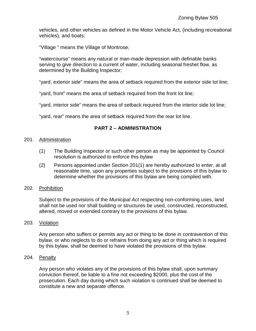vehicles, and other vehicles as defined in the Motor Vehicle Act, (including recreational vehicles), and boats;

"Village " means the Village of Montrose;

"watercourse" means any natural or man-made depression with definable banks serving to give direction to a current of water, including seasonal freshet flow, as determined by the Building Inspector;

"yard, exterior side" means the area of setback required from the exterior side lot line;

"yard, front" means the area of setback required from the front lot line;

"yard, interior side" means the area of setback required from the interior side lot line;

"yard, rear" means the area of setback required from the rear lot line.

## **PART 2 – ADMINISTRATION**

### 201. Administration

- (1) The Building Inspector or such other person as may be appointed by Council resolution is authorized to enforce this bylaw
- (2) Persons appointed under Section 201(1) are hereby authorized to enter, at all reasonable time, upon any properties subject to the provisions of this bylaw to determine whether the provisions of this bylaw are being complied with.

## 202. Prohibition

Subject to the provisions of the *Municipal Act* respecting non-conforming uses, land shall not be used nor shall building or structures be used, constructed, reconstructed, altered, moved or extended contrary to the provisions of this bylaw.

#### 203. Violation

Any person who suffers or permits any act or thing to be done in contravention of this bylaw, or who neglects to do or refrains from doing any act or thing which is required by this bylaw, shall be deemed to have violated the provisions of this bylaw.

#### 204. Penalty

Any person who violates any of the provisions of this bylaw shall, upon summary conviction thereof, be liable to a fine not exceeding \$2000, plus the cost of the prosecution. Each day during which such violation is continued shall be deemed to constitute a new and separate offence.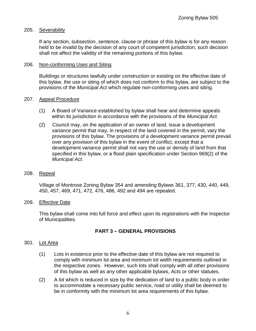### 205. Severability

If any section, subsection, sentence, clause or phrase of this bylaw is for any reason held to be invalid by the decision of any court of competent jurisdiction, such decision shall not affect the validity of the remaining portions of this bylaw.

#### 206. Non-conforming Uses and Siting

Buildings or structures lawfully under construction or existing on the effective date of this bylaw, the use or siting of which does not conform to this bylaw, are subject to the provisions of the Municipal Act which regulate non-conforming uses and siting.

#### 207. Appeal Procedure

- (1) A Board of Variance established by bylaw shall hear and determine appeals within its jurisdiction in accordance with the provisions of the *Municipal Act.*
- (2) Council may, on the application of an owner of land, issue a development variance permit that may, in respect of the land covered in the permit, vary the provisions of this bylaw. The provisions of a development variance permit prevail over any provision of this bylaw in the event of conflict, except that a development variance permit shall not vary the use or density of land from that specified in this bylaw, or a flood plain specification under Section 969(2) of the Municipal Act.
- 208. Repeal

Village of Montrose Zoning Bylaw 354 and amending Bylaws 361, 377, 430, 440, 449, 450, 457, 469, 471, 472, 476, 486, 492 and 494 are repealed.

209. Effective Date

This bylaw shall come into full force and effect upon its registrations with the Inspector of Municipalities.

## **PART 3 – GENERAL PROVISIONS**

#### 301. Lot Area

- (1) Lots in existence prior to the effective date of this bylaw are not required to comply with minimum lot area and minimum lot width requirements outlined in the respective zones. However, such lots shall comply with all other provisions of this bylaw as well as any other applicable bylaws, Acts or other statutes.
- (2) A lot which is reduced in size by the dedication of land to a public body in order to accommodate a necessary public service, road or utility shall be deemed to be in conformity with the minimum lot area requirements of this bylaw.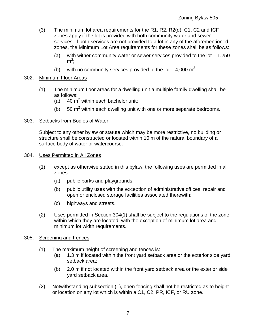- (3) The minimum lot area requirements for the R1, R2, R2(d), C1, C2 and ICF zones apply if the lot is provided with both community water and sewer services. If both services are not provided to a lot in any of the aforementioned zones, the Minimum Lot Area requirements for these zones shall be as follows:
	- (a) with wither community water or sewer services provided to the  $\cot 1.250$  $m^2$ ;
	- (b) with no community services provided to the lot  $-4,000 \text{ m}^2$ ;

## 302. Minimum Floor Areas

- (1) The minimum floor areas for a dwelling unit a multiple family dwelling shall be as follows:
	- (a)  $40 \text{ m}^2$  within each bachelor unit;
	- (b)  $50 \text{ m}^2$  within each dwelling unit with one or more separate bedrooms.

## 303. Setbacks from Bodies of Water

Subject to any other bylaw or statute which may be more restrictive, no building or structure shall be constructed or located within 10 m of the natural boundary of a surface body of water or watercourse.

#### 304. Uses Permitted in All Zones

- (1) except as otherwise stated in this bylaw, the following uses are permitted in all zones:
	- (a) public parks and playgrounds
	- (b) public utility uses with the exception of administrative offices, repair and open or enclosed storage facilities associated therewith;
	- (c) highways and streets.
- (2) Uses permitted in Section 304(1) shall be subject to the regulations of the zone within which they are located, with the exception of minimum lot area and minimum lot width requirements.

## 305. Screening and Fences

- (1) The maximum height of screening and fences is:
	- (a) 1.3 m if located within the front yard setback area or the exterior side yard setback area;
	- (b) 2.0 m if not located within the front yard setback area or the exterior side yard setback area.
- (2) Notwithstanding subsection (1), open fencing shall not be restricted as to height or location on any lot which is within a C1, C2, PR, ICF, or RU zone.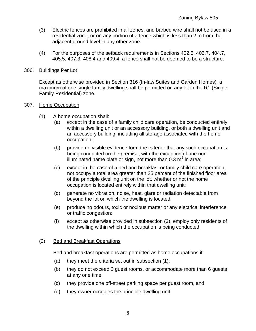- (3) Electric fences are prohibited in all zones, and barbed wire shall not be used in a residential zone, or on any portion of a fence which is less than 2 m from the adjacent ground level in any other zone.
- (4) For the purposes of the setback requirements in Sections 402.5, 403.7, 404.7, 405.5, 407.3, 408.4 and 409.4, a fence shall not be deemed to be a structure.

#### 306. Buildings Per Lot

Except as otherwise provided in Section 316 (In-law Suites and Garden Homes), a maximum of one single family dwelling shall be permitted on any lot in the R1 (Single Family Residential) zone.

#### 307. Home Occupation

- (1) A home occupation shall:
	- (a) except in the case of a family child care operation, be conducted entirely within a dwelling unit or an accessory building, or both a dwelling unit and an accessory building, including all storage associated with the home occupation;
	- (b) provide no visible evidence form the exterior that any such occupation is being conducted on the premise, with the exception of one nonilluminated name plate or sign, not more than 0.3 m<sup>2</sup> in area;
	- (c) except in the case of a bed and breakfast or family child care operation, not occupy a total area greater than 25 percent of the finished floor area of the principle dwelling unit on the lot, whether or not the home occupation is located entirely within that dwelling unit;
	- (d) generate no vibration, noise, heat, glare or radiation detectable from beyond the lot on which the dwelling is located;
	- (e) produce no odours, toxic or noxious matter or any electrical interference or traffic congestion;
	- (f) except as otherwise provided in subsection (3), employ only residents of the dwelling within which the occupation is being conducted.

## (2) Bed and Breakfast Operations

Bed and breakfast operations are permitted as home occupations if:

- (a) they meet the criteria set out in subsection (1);
- (b) they do not exceed 3 guest rooms, or accommodate more than 6 guests at any one time;
- (c) they provide one off-street parking space per guest room, and
- (d) they owner occupies the principle dwelling unit.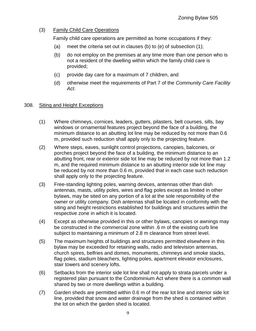## (3) Family Child Care Operations

Family child care operations are permitted as home occupations if they:

- (a) meet the criteria set out in clauses (b) to (e) of subsection (1);
- (b) do not employ on the premises at any time more than one person who is not a resident of the dwelling within which the family child care is provided;
- (c) provide day care for a maximum of 7 children, and
- (d) otherwise meet the requirements of Part 7 of the Community Care Facility Act.

## 308. Siting and Height Exceptions

- (1) Where chimneys, cornices, leaders, gutters, pilasters, belt courses, sills, bay windows or ornamental features project beyond the face of a building, the minimum distance to an abutting lot line may be reduced by not more than 0.6 m, provided such reduction shall apply only to the projecting feature.
- (2) Where steps, eaves, sunlight control projections, canopies, balconies, or porches project beyond the face of a building, the minimum distance to an abutting front, rear or exterior side lot line may be reduced by not more than 1.2 m, and the required minimum distance to an abutting interior side lot line may be reduced by not more than 0.6 m, provided that in each case such reduction shall apply only to the projecting feature.
- (3) Free-standing lighting poles, warning devices, antennas other than dish antennas, masts, utility poles, wires and flag poles except as limited in other bylaws, may be sited on any portion of a lot at the sole responsibility of the owner or utility company. Dish antennas shall be located in conformity with the siting and height restrictions established for buildings and structures within the respective zone in which it is located.
- (4) Except as otherwise provided in this or other bylaws, canopies or awnings may be constructed in the commercial zone within .6 m of the existing curb line subject to maintaining a minimum of 2.8 m clearance from street level.
- (5) The maximum heights of buildings and structures permitted elsewhere in this bylaw may be exceeded for retaining walls, radio and television antennas, church spires, belfries and domes, monuments, chimneys and smoke stacks, flag poles, stadium bleachers, lighting poles, apartment elevator enclosures, stair towers and scenery lofts.
- (6) Setbacks from the interior side lot line shall not apply to strata parcels under a registered plan pursuant to the Condominium Act where there is a common wall shared by two or more dwellings within a building.
- (7) Garden sheds are permitted within 0.6 m of the rear lot line and interior side lot line, provided that snow and water drainage from the shed is contained within the lot on which the garden shed is located.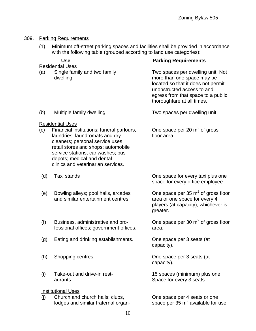## 309. Parking Requirements

(1) Minimum off-street parking spaces and facilities shall be provided in accordance with the following table (grouped according to land use categories):

| <b>Use</b>                |                                                                                                                                                                                                                    | <b>Parking Requirements</b>                                                                                                                                                                             |  |  |
|---------------------------|--------------------------------------------------------------------------------------------------------------------------------------------------------------------------------------------------------------------|---------------------------------------------------------------------------------------------------------------------------------------------------------------------------------------------------------|--|--|
| (a)                       | Residential Uses<br>Single family and two family<br>dwelling.                                                                                                                                                      | Two spaces per dwelling unit. Not<br>more than one space may be<br>located so that it does not permit<br>unobstructed access to and<br>egress from that space to a public<br>thoroughfare at all times. |  |  |
| (b)                       | Multiple family dwelling.                                                                                                                                                                                          | Two spaces per dwelling unit.                                                                                                                                                                           |  |  |
| (c)                       | <b>Residential Uses</b><br>Financial institutions; funeral parlours,                                                                                                                                               | One space per 20 $m2$ of gross                                                                                                                                                                          |  |  |
|                           | laundries, laundromats and dry<br>cleaners; personal service uses;<br>retail stores and shops; automobile<br>service stations, car washes; bus<br>depots; medical and dental<br>clinics and veterinarian services. | floor area.                                                                                                                                                                                             |  |  |
| (d)                       | Taxi stands                                                                                                                                                                                                        | One space for every taxi plus one<br>space for every office employee.                                                                                                                                   |  |  |
| (e)                       | Bowling alleys; pool halls, arcades<br>and similar entertainment centres.                                                                                                                                          | One space per $35 \text{ m}^2$ of gross floor<br>area or one space for every 4<br>players (at capacity), whichever is<br>greater.                                                                       |  |  |
| (f)                       | Business, administrative and pro-<br>fessional offices; government offices.                                                                                                                                        | One space per 30 $m2$ of gross floor<br>area.                                                                                                                                                           |  |  |
| (g)                       | Eating and drinking establishments.                                                                                                                                                                                | One space per 3 seats (at<br>capacity).                                                                                                                                                                 |  |  |
| (h)                       | Shopping centres.                                                                                                                                                                                                  | One space per 3 seats (at<br>capacity).                                                                                                                                                                 |  |  |
| (i)                       | Take-out and drive-in rest-<br>aurants.                                                                                                                                                                            | 15 spaces (minimum) plus one<br>Space for every 3 seats.                                                                                                                                                |  |  |
| <b>Institutional Uses</b> |                                                                                                                                                                                                                    |                                                                                                                                                                                                         |  |  |
| (i)                       | Church and church halls; clubs,<br>lodges and similar fraternal organ-                                                                                                                                             | One space per 4 seats or one<br>space per $35 \text{ m}^2$ available for use                                                                                                                            |  |  |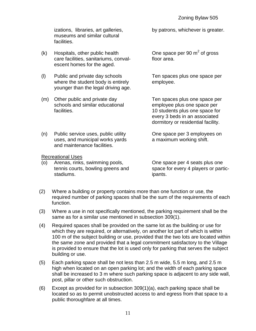izations, libraries, art galleries, by patrons, whichever is greater. museums and similar cultural facilities.

- $(k)$  Hospitals, other public health care facilities, sanitariums, conval-<br>
floor area. escent homes for the aged.
- (l) Public and private day schools Ten spaces plus one space per where the student body is entirely employee. younger than the legal driving age.
- (m) Other public and private day Ten spaces plus one space per schools and similar educational employee plus one space per facilities. The students plus one space for  $\sim$  10 students plus one space for

 $2$  of gross

every 3 beds in an associated dormitory or residential facility.

(n) Public service uses, public utility One space per 3 employees on uses, and municipal works yards a maximum working shift.

Recreational Uses

(o) Arenas, rinks, swimming pools, One space per 4 seats plus one stadiums. **ipants**.

and maintenance facilities.

tennis courts, bowling greens and space for every 4 players or partic-

- (2) Where a building or property contains more than one function or use, the required number of parking spaces shall be the sum of the requirements of each function.
- (3) Where a use in not specifically mentioned, the parking requirement shall be the same as for a similar use mentioned in subsection 309(1).
- (4) Required spaces shall be provided on the same lot as the building or use for which they are required, or alternatively, on another lot part of which is within 100 m of the subject building or use, provided that the two lots are located within the same zone and provided that a legal commitment satisfactory to the Village is provided to ensure that the lot is used only for parking that serves the subject building or use.
- (5) Each parking space shall be not less than 2.5 m wide, 5.5 m long, and 2.5 m high when located on an open parking lot; and the width of each parking space shall be increased to 3 m where such parking space is adjacent to any side wall, post, pillar or other such obstruction.
- (6) Except as provided for in subsection 309(1)(a), each parking space shall be located so as to permit unobstructed access to and egress from that space to a public thoroughfare at all times.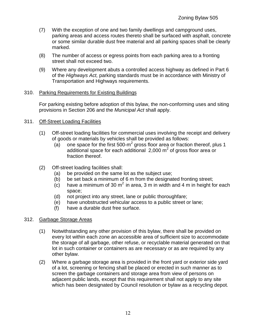- (7) With the exception of one and two family dwellings and campground uses, parking areas and access routes thereto shall be surfaced with asphalt, concrete or some similar durable dust free material and all parking spaces shall be clearly marked.
- (8) The number of access or egress points from each parking area to a fronting street shall not exceed two.
- (9) Where any development abuts a controlled access highway as defined in Part 6 of the Highways Act, parking standards must be in accordance with Ministry of Transportation and Highways requirements.

## 310. Parking Requirements for Existing Buildings

For parking existing before adoption of this bylaw, the non-conforming uses and siting provisions in Section 206 and the Municipal Act shall apply.

## 311. Off-Street Loading Facilities

- (1) Off-street loading facilities for commercial uses involving the receipt and delivery of goods or materials by vehicles shall be provided as follows:
	- (a) one space for the first 500-m<sup>2</sup> gross floor area or fraction thereof, plus 1 additional space for each additional  $2,000$  m<sup>2</sup> of gross floor area or fraction thereof.
- (2) Off-street loading facilities shall:
	- (a) be provided on the same lot as the subject use;
	- (b) be set back a minimum of 6 m from the designated fronting street;
	- $(c)$  have a minimum of 30 m<sup>2</sup> in area, 3 m in width and 4 m in height for each space;
	- (d) not project into any street, lane or public thoroughfare;
	- (e) have unobstructed vehicular access to a public street or lane;
	- (f) have a durable dust free surface.

## 312. Garbage Storage Areas

- (1) Notwithstanding any other provision of this bylaw, there shall be provided on every lot within each zone an accessible area of sufficient size to accommodate the storage of all garbage, other refuse, or recyclable material generated on that lot in such container or containers as are necessary or as are required by any other bylaw.
- (2) Where a garbage storage area is provided in the front yard or exterior side yard of a lot, screening or fencing shall be placed or erected in such manner as to screen the garbage containers and storage area from view of persons on adjacent public lands, except that this requirement shall not apply to any site which has been designated by Council resolution or bylaw as a recycling depot.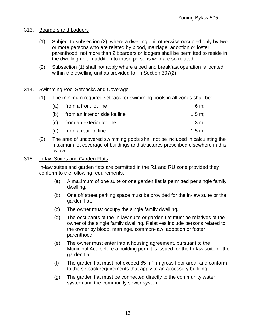## 313. Boarders and Lodgers

- (1) Subject to subsection (2), where a dwelling unit otherwise occupied only by two or more persons who are related by blood, marriage, adoption or foster parenthood, not more than 2 boarders or lodgers shall be permitted to reside in the dwelling unit in addition to those persons who are so related.
- (2) Subsection (1) shall not apply where a bed and breakfast operation is located within the dwelling unit as provided for in Section 307(2).

## 314. Swimming Pool Setbacks and Coverage

(1) The minimum required setback for swimming pools in all zones shall be:

| (a) from a front lot line          | 6 m:              |
|------------------------------------|-------------------|
| (b) from an interior side lot line | $1.5 \text{ m}$   |
| (c) from an exterior lot line      | 3 m:              |
| (d) from a rear lot line           | $1.5 \text{ m}$ . |

(2) The area of uncovered swimming pools shall not be included in calculating the maximum lot coverage of buildings and structures prescribed elsewhere in this bylaw.

## 315. In-law Suites and Garden Flats

In-law suites and garden flats are permitted in the R1 and RU zone provided they conform to the following requirements.

- (a) A maximum of one suite or one garden flat is permitted per single family dwelling.
- (b) One off street parking space must be provided for the in-law suite or the garden flat.
- (c) The owner must occupy the single family dwelling.
- (d) The occupants of the In-law suite or garden flat must be relatives of the owner of the single family dwelling. Relatives include persons related to the owner by blood, marriage, common-law, adoption or foster parenthood.
- (e) The owner must enter into a housing agreement, pursuant to the Municipal Act, before a building permit is issued for the In-law suite or the garden flat.
- (f) The garden flat must not exceed 65  $m^2$  in gross floor area, and conform to the setback requirements that apply to an accessory building.
- (g) The garden flat must be connected directly to the community water system and the community sewer system.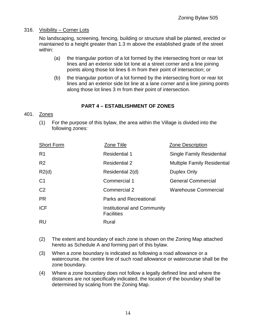## 316. Visibility – Corner Lots

No landscaping, screening, fencing, building or structure shall be planted, erected or maintained to a height greater than 1.3 m above the established grade of the street within:

- (a) the triangular portion of a lot formed by the intersecting front or rear lot lines and an exterior side lot lone at a street corner and a line joining points along those lot lines 6 m from their point of intersection; or
- (b) the triangular portion of a lot formed by the intersecting front or rear lot lines and an exterior side lot line at a lane corner and a line joining points along those lot lines 3 m from their point of intersection.

## **PART 4 – ESTABLISHMENT OF ZONES**

## 401. Zones

(1) For the purpose of this bylaw, the area within the Village is divided into the following zones:

| <b>Short Form</b> | Zone Title                                              | Zone Description                   |
|-------------------|---------------------------------------------------------|------------------------------------|
| R <sub>1</sub>    | <b>Residential 1</b>                                    | <b>Single Family Residential</b>   |
| R <sub>2</sub>    | <b>Residential 2</b>                                    | <b>Multiple Family Residential</b> |
| R2(d)             | Residential 2(d)                                        | <b>Duplex Only</b>                 |
| C <sub>1</sub>    | Commercial 1                                            | <b>General Commercial</b>          |
| C <sub>2</sub>    | Commercial 2                                            | <b>Warehouse Commercial</b>        |
| <b>PR</b>         | <b>Parks and Recreational</b>                           |                                    |
| <b>ICF</b>        | <b>Institutional and Community</b><br><b>Facilities</b> |                                    |
| <b>RU</b>         | Rural                                                   |                                    |

- (2) The extent and boundary of each zone is shown on the Zoning Map attached hereto as Schedule A and forming part of this bylaw.
- (3) When a zone boundary is indicated as following a road allowance or a watercourse, the centre line of such road allowance or watercourse shall be the zone boundary.
- (4) Where a zone boundary does not follow a legally defined line and where the distances are not specifically indicated, the location of the boundary shall be determined by scaling from the Zoning Map.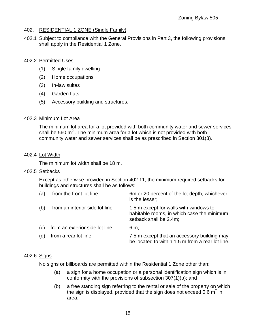## 402. RESIDENTIAL 1 ZONE (Single Family)

402.1 Subject to compliance with the General Provisions in Part 3, the following provisions shall apply in the Residential 1 Zone.

#### 402.2 Permitted Uses

- (1) Single family dwelling
- (2) Home occupations
- (3) In-law suites
- (4) Garden flats
- (5) Accessory building and structures.

### 402.3 Minimum Lot Area

The minimum lot area for a lot provided with both community water and sewer services shall be 560  $m^2$ . The minimum area for a lot which is not provided with both community water and sewer services shall be as prescribed in Section 301(3).

### 402.4 Lot Width

The minimum lot width shall be 18 m.

#### 402.5 Setbacks

Except as otherwise provided in Section 402.11, the minimum required setbacks for buildings and structures shall be as follows:

| (a) | from the front lot line        | 6m or 20 percent of the lot depth, whichever<br>is the lesser;                                                 |
|-----|--------------------------------|----------------------------------------------------------------------------------------------------------------|
| (b) | from an interior side lot line | 1.5 m except for walls with windows to<br>habitable rooms, in which case the minimum<br>setback shall be 2.4m; |
| (c) | from an exterior side lot line | $6 \text{ m}$ ;                                                                                                |
| (d) | from a rear lot line           | 7.5 m except that an accessory building may<br>be located to within 1.5 m from a rear lot line.                |

## 402.6 Signs

No signs or billboards are permitted within the Residential 1 Zone other than:

- (a) a sign for a home occupation or a personal identification sign which is in conformity with the provisions of subsection 307(1)(b); and
- (b) a free standing sign referring to the rental or sale of the property on which the sign is displayed, provided that the sign does not exceed 0.6  $m^2$  in area.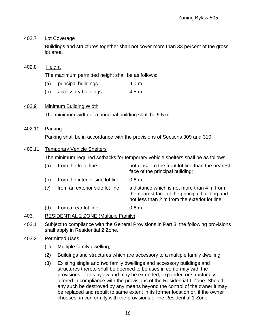## 402.7 Lot Coverage

Buildings and structures together shall not cover more than 33 percent of the gross lot area.

## 402.8 Height

The maximum permitted height shall be as follows:

- (a) principal buildings 9.0 m
- (b) accessory buildings 4.5 m

## 402.9 Minimum Building Width

The minimum width of a principal building shall be 5.5 m.

### 402.10 Parking

Parking shall be in accordance with the provisions of Sections 309 and 310.

## 402.11 Temporary Vehicle Shelters

The minimum required setbacks for temporary vehicle shelters shall be as follows:

| (a) | from the front line             | not closer to the front lot line than the nearest<br>face of the principal building;                                                          |
|-----|---------------------------------|-----------------------------------------------------------------------------------------------------------------------------------------------|
| (b) | from the interior side lot line | 0.6 m;                                                                                                                                        |
| (c) | from an exterior side lot line  | a distance which is not more than 4 m from<br>the nearest face of the principal building and<br>not less than 2 m from the exterior lot line; |
| (d) | from a rear lot line            | 0.6 m.                                                                                                                                        |

## 403. RESIDENTIAL 2 ZONE (Multiple Family)

403.1 Subject to compliance with the General Provisions in Part 3, the following provisions shall apply in Residential 2 Zone.

#### 403.2 Permitted Uses

- (1) Multiple family dwelling;
- (2) Buildings and structures which are accessory to a multiple family dwelling;
- (3) Existing single and two family dwellings and accessory buildings and structures thereto shall be deemed to be uses in conformity with the provisions of this bylaw and may be extended, expanded or structurally altered in compliance with the provisions of the Residential 1 Zone. Should any such be destroyed by any means beyond the control of the owner it may be replaced and rebuilt to same extent in its former location or, if the owner chooses, in conformity with the provisions of the Residential 1 Zone;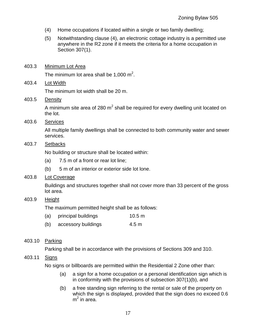- (4) Home occupations if located within a single or two family dwelling;
- (5) Notwithstanding clause (4), an electronic cottage industry is a permitted use anywhere in the R2 zone if it meets the criteria for a home occupation in Section 307(1).
- 403.3 Minimum Lot Area The minimum lot area shall be 1,000  $m^2$ .
- 403.4 Lot Width

The minimum lot width shall be 20 m.

403.5 Density

A minimum site area of 280 m<sup>2</sup> shall be required for every dwelling unit located on the lot.

403.6 Services

All multiple family dwellings shall be connected to both community water and sewer services.

403.7 Setbacks

No building or structure shall be located within:

- (a) 7.5 m of a front or rear lot line;
- (b) 5 m of an interior or exterior side lot lone.
- 403.8 Lot Coverage

Buildings and structures together shall not cover more than 33 percent of the gross lot area.

403.9 Height

The maximum permitted height shall be as follows:

- (a) principal buildings 10.5 m
- (b) accessory buildings 4.5 m

## 403.10 Parking

Parking shall be in accordance with the provisions of Sections 309 and 310.

## 403.11 Signs

No signs or billboards are permitted within the Residential 2 Zone other than:

- (a) a sign for a home occupation or a personal identification sign which is in conformity with the provisions of subsection 307(1)(b), and
- (b) a free standing sign referring to the rental or sale of the property on which the sign is displayed, provided that the sign does no exceed 0.6  $m<sup>2</sup>$  in area.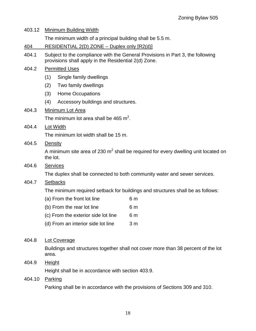| 403.12 | Minimum Building Width                                                                                                                 |  |
|--------|----------------------------------------------------------------------------------------------------------------------------------------|--|
|        | The minimum width of a principal building shall be 5.5 m.                                                                              |  |
| 404    | RESIDENTIAL 2(D) ZONE - Duplex only [R2(d)]                                                                                            |  |
| 404.1  | Subject to the compliance with the General Provisions in Part 3, the following<br>provisions shall apply in the Residential 2(d) Zone. |  |
| 404.2  | <b>Permitted Uses</b>                                                                                                                  |  |
|        | (1)<br>Single family dwellings                                                                                                         |  |
|        | Two family dwellings<br>(2)                                                                                                            |  |
|        | <b>Home Occupations</b><br>(3)                                                                                                         |  |
|        | (4)<br>Accessory buildings and structures.                                                                                             |  |
| 404.3  | Minimum Lot Area                                                                                                                       |  |
|        | The minimum lot area shall be 465 $m^2$ .                                                                                              |  |
| 404.4  | Lot Width                                                                                                                              |  |
|        | The minimum lot width shall be 15 m.                                                                                                   |  |
| 404.5  | Density                                                                                                                                |  |
|        | A minimum site area of 230 $m2$ shall be required for every dwelling unit located on<br>the lot.                                       |  |
| 404.6  | <b>Services</b>                                                                                                                        |  |
|        | The duplex shall be connected to both community water and sewer services.                                                              |  |
| 404.7  | <b>Setbacks</b>                                                                                                                        |  |
|        | The minimum required setback for buildings and structures shall be as follows:                                                         |  |
|        | (a) From the front lot line<br>6 m                                                                                                     |  |
|        | (b) From the rear lot line<br>6 <sub>m</sub>                                                                                           |  |
|        | (c) From the exterior side lot line<br>6 <sub>m</sub>                                                                                  |  |
|        | (d) From an interior side lot line<br>3 <sub>m</sub>                                                                                   |  |
| 404.8  | <b>Lot Coverage</b>                                                                                                                    |  |
|        | Buildings and structures together shall not cover more than 38 percent of the lot<br>area.                                             |  |
| 404.9  | <b>Height</b>                                                                                                                          |  |
|        | Height shall be in accordance with section 403.9.                                                                                      |  |
|        |                                                                                                                                        |  |

# 404.10 Parking

Parking shall be in accordance with the provisions of Sections 309 and 310.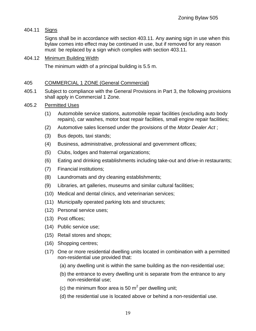## 404.11 Signs

Signs shall be in accordance with section 403.11. Any awning sign in use when this bylaw comes into effect may be continued in use, but if removed for any reason must be replaced by a sign which complies with section 403.11.

## 404.12 Minimum Building Width

The minimum width of a principal building is 5.5 m.

#### 405 COMMERCIAL 1 ZONE (General Commercial)

405.1 Subject to compliance with the General Provisions in Part 3, the following provisions shall apply in Commercial 1 Zone.

### 405.2 Permitted Uses

- (1) Automobile service stations, automobile repair facilities (excluding auto body repairs), car washes, motor boat repair facilities, small engine repair facilities;
- (2) Automotive sales licensed under the provisions of the *Motor Dealer Act*:
- (3) Bus depots, taxi stands;
- (4) Business, administrative, professional and government offices;
- (5) Clubs, lodges and fraternal organizations;
- (6) Eating and drinking establishments including take-out and drive-in restaurants;
- (7) Financial institutions;
- (8) Laundromats and dry cleaning establishments;
- (9) Libraries, art galleries, museums and similar cultural facilities;
- (10) Medical and dental clinics, and veterinarian services;
- (11) Municipally operated parking lots and structures;
- (12) Personal service uses;
- (13) Post offices;
- (14) Public service use;
- (15) Retail stores and shops;
- (16) Shopping centres;
- (17) One or more residential dwelling units located in combination with a permitted non-residential use provided that:
	- (a) any dwelling unit is within the same building as the non-residential use;
	- (b) the entrance to every dwelling unit is separate from the entrance to any non-residential use;
	- (c) the minimum floor area is 50  $m^2$  per dwelling unit;
	- (d) the residential use is located above or behind a non-residential use.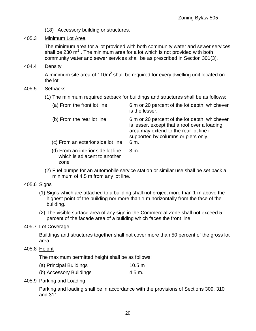- (18) Accessory building or structures.
- 405.3 Minimum Lot Area

The minimum area for a lot provided with both community water and sewer services shall be 230  $m^2$  . The minimum area for a lot which is not provided with both community water and sewer services shall be as prescribed in Section 301(3).

404.4 Density

A minimum site area of 110m<sup>2</sup> shall be required for every dwelling unit located on the lot.

- 405.5 Setbacks
	- (1) The minimum required setback for buildings and structures shall be as follows:

| (a) From the front lot line                                                | 6 m or 20 percent of the lot depth, whichever<br>is the lesser.                                                                                                                 |
|----------------------------------------------------------------------------|---------------------------------------------------------------------------------------------------------------------------------------------------------------------------------|
| (b) From the rear lot line                                                 | 6 m or 20 percent of the lot depth, whichever<br>is lesser, except that a roof over a loading<br>area may extend to the rear lot line if<br>supported by columns or piers only. |
| (c) From an exterior side lot line                                         | 6 m.                                                                                                                                                                            |
| (d) From an interior side lot line<br>which is adjacent to another<br>zone | 3 m.                                                                                                                                                                            |

(2) Fuel pumps for an automobile service station or similar use shall be set back a minimum of 4.5 m from any lot line.

## 405.6 Signs

- (1) Signs which are attached to a building shall not project more than 1 m above the highest point of the building nor more than 1 m horizontally from the face of the building.
- (2) The visible surface area of any sign in the Commercial Zone shall not exceed 5 percent of the facade area of a building which faces the front line.

## 405.7 Lot Coverage

Buildings and structures together shall not cover more than 50 percent of the gross lot area.

405.8 Height

The maximum permitted height shall be as follows:

| (a) Principal Buildings | 10.5 m |
|-------------------------|--------|
| (b) Accessory Buildings | 4.5 m. |

## 405.9 Parking and Loading

Parking and loading shall be in accordance with the provisions of Sections 309, 310 and 311.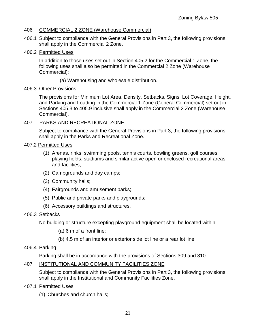## 406 COMMERCIAL 2 ZONE (Warehouse Commercial)

- 406.1 Subject to compliance with the General Provisions in Part 3, the following provisions shall apply in the Commercial 2 Zone.
- 406.2 Permitted Uses

In addition to those uses set out in Section 405.2 for the Commercial 1 Zone, the following uses shall also be permitted in the Commercial 2 Zone (Warehouse Commercial):

(a) Warehousing and wholesale distribution.

### 406.3 Other Provisions

The provisions for Minimum Lot Area, Density, Setbacks, Signs, Lot Coverage, Height, and Parking and Loading in the Commercial 1 Zone (General Commercial) set out in Sections 405.3 to 405.9 inclusive shall apply in the Commercial 2 Zone (Warehouse Commercial).

## 407 PARKS AND RECREATIONAL ZONE

Subject to compliance with the General Provisions in Part 3, the following provisions shall apply in the Parks and Recreational Zone.

- 407.2 Permitted Uses
	- (1) Arenas, rinks, swimming pools, tennis courts, bowling greens, golf courses, playing fields, stadiums and similar active open or enclosed recreational areas and facilities;
	- (2) Campgrounds and day camps;
	- (3) Community halls;
	- (4) Fairgrounds and amusement parks;
	- (5) Public and private parks and playgrounds;
	- (6) Accessory buildings and structures.

## 406.3 Setbacks

No building or structure excepting playground equipment shall be located within:

- (a) 6 m of a front line;
- (b) 4.5 m of an interior or exterior side lot line or a rear lot line.
- 406.4 Parking

Parking shall be in accordance with the provisions of Sections 309 and 310.

## 407 INSTITUTIONAL AND COMMUNITY FACILITIES ZONE

Subject to compliance with the General Provisions in Part 3, the following provisions shall apply in the Institutional and Community Facilities Zone.

- 407.1 Permitted Uses
	- (1) Churches and church halls;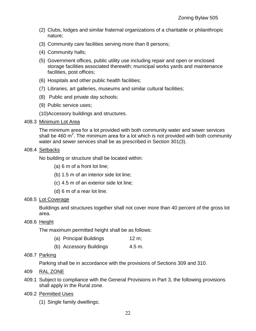- (2) Clubs, lodges and similar fraternal organizations of a charitable or philanthropic nature;
- (3) Community care facilities serving more than 8 persons;
- (4) Community halls;
- (5) Government offices, public utility use including repair and open or enclosed storage facilities associated therewith; municipal works yards and maintenance facilities, post offices;
- (6) Hospitals and other public health facilities;
- (7) Libraries, art galleries, museums and similar cultural facilities;
- (8) Public and private day schools;
- (9) Public service uses;

(10)Accessory buildings and structures.

#### 408.3 Minimum Lot Area

The minimum area for a lot provided with both community water and sewer services shall be 460  $m^2$ . The minimum area for a lot which is not provided with both community water and sewer services shall be as prescribed in Section 301(3).

#### 408.4 Setbacks

No building or structure shall be located within:

- (a) 6 m of a front lot line;
- (b) 1.5 m of an interior side lot line;
- (c) 4.5 m of an exterior side lot line;
- (d) 6 m of a rear lot line.

#### 408.5 Lot Coverage

Buildings and structures together shall not cover more than 40 percent of the gross lot area.

#### 408.6 Height

The maximum permitted height shall be as follows:

- (a) Principal Buildings 12 m;
- (b) Accessory Buildings 4.5 m.

#### 408.7 Parking

Parking shall be in accordance with the provisions of Sections 309 and 310.

- 409 RAL ZONE
- 409.1 Subject to compliance with the General Provisions in Part 3, the following provisions shall apply in the Rural zone.

#### 409.2 Permitted Uses

(1) Single family dwellings;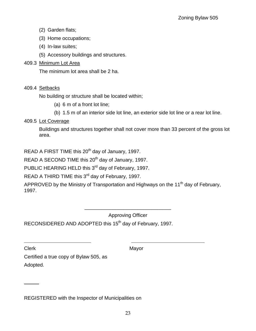- (2) Garden flats;
- (3) Home occupations;
- (4) In-law suites;
- (5) Accessory buildings and structures.

## 409.3 Minimum Lot Area

The minimum lot area shall be 2 ha.

## 409.4 Setbacks

No building or structure shall be located within;

- (a) 6 m of a front lot line;
- (b) 1.5 m of an interior side lot line, an exterior side lot line or a rear lot line.

# 409.5 Lot Coverage

Buildings and structures together shall not cover more than 33 percent of the gross lot area.

READ A FIRST TIME this 20<sup>th</sup> day of January, 1997.

READ A SECOND TIME this  $20<sup>th</sup>$  day of January, 1997.

PUBLIC HEARING HELD this 3<sup>rd</sup> day of February, 1997.

READ A THIRD TIME this  $3<sup>rd</sup>$  day of February, 1997.

APPROVED by the Ministry of Transportation and Highways on the 11<sup>th</sup> day of February, 1997.

Approving Officer

\_\_\_\_\_\_\_\_\_\_\_\_\_\_\_\_\_\_\_\_\_\_\_\_\_\_\_\_\_\_\_

RECONSIDERED AND ADOPTED this 15<sup>th</sup> day of February, 1997.

 $\overline{a}$ 

 $\overline{a}$ 

Clerk Mayor

Certified a true copy of Bylaw 505, as Adopted.

REGISTERED with the Inspector of Municipalities on